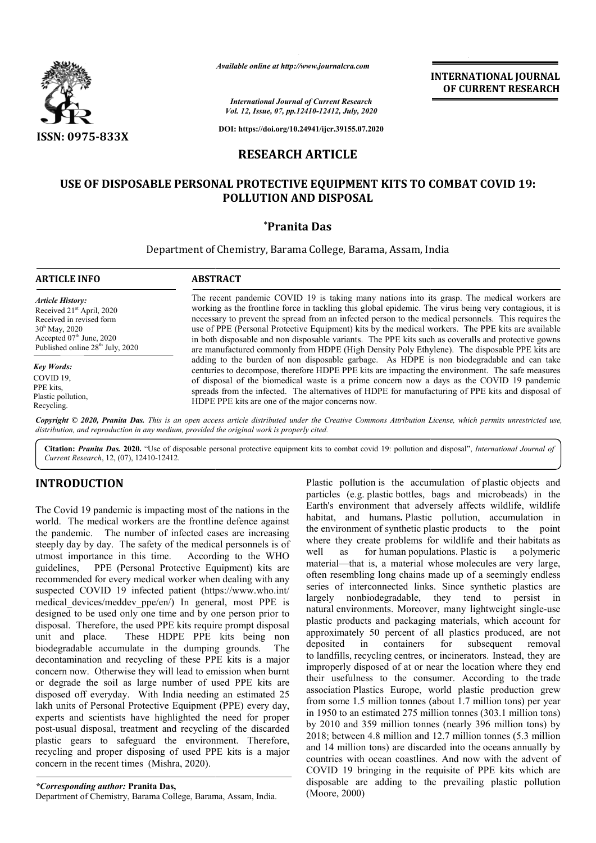

*Available online at http://www.journalcra.com*

*International Journal of Current Research Vol. 12, Issue, 07, pp.12410-12412, July, 2020*

**DOI: https://doi.org/10.24941/ijcr.39155.07.2020**

# **RESEARCH ARTICLE**

# **USE OF DISPOSABLE PERSONAL PROTECTIVE EQUIPMENT KITS TO COMBAT COVID 19: KITS TO POLLUTION AND DISPOSAL**

### **\*Pranita Das**

### Department of Chemistry, Barama College, Barama, Assam, India

| <b>ARTICLE INFO</b>                                                                                                                                                                                            | <b>ABSTRACT</b>                                                                                                                                                                                                                                                                                                                                                                                                                                                                                                                                                                                                                                                                                                                                                                                                                                                                                                                                                                                                                                                                      |
|----------------------------------------------------------------------------------------------------------------------------------------------------------------------------------------------------------------|--------------------------------------------------------------------------------------------------------------------------------------------------------------------------------------------------------------------------------------------------------------------------------------------------------------------------------------------------------------------------------------------------------------------------------------------------------------------------------------------------------------------------------------------------------------------------------------------------------------------------------------------------------------------------------------------------------------------------------------------------------------------------------------------------------------------------------------------------------------------------------------------------------------------------------------------------------------------------------------------------------------------------------------------------------------------------------------|
| <b>Article History:</b><br>Received 21 <sup>st</sup> April, 2020<br>Received in revised form<br>$30^{\rm h}$ May, 2020<br>Accepted 07 <sup>th</sup> June, 2020<br>Published online 28 <sup>th</sup> July, 2020 | The recent pandemic COVID 19 is taking many nations into its grasp. The medical workers are<br>working as the frontline force in tackling this global epidemic. The virus being very contagious, it is<br>necessary to prevent the spread from an infected person to the medical personnels. This requires the<br>use of PPE (Personal Protective Equipment) kits by the medical workers. The PPE kits are available<br>in both disposable and non disposable variants. The PPE kits such as coveralls and protective gowns<br>are manufactured commonly from HDPE (High Density Poly Ethylene). The disposable PPE kits are<br>adding to the burden of non disposable garbage. As HDPE is non biodegradable and can take<br>centuries to decompose, therefore HDPE PPE kits are impacting the environment. The safe measures<br>of disposal of the biomedical waste is a prime concern now a days as the COVID 19 pandemic<br>spreads from the infected. The alternatives of HDPE for manufacturing of PPE kits and disposal of<br>HDPE PPE kits are one of the major concerns now. |
| <b>Key Words:</b><br>COVID 19.<br>PPE kits,<br>Plastic pollution,<br>Recycling.                                                                                                                                |                                                                                                                                                                                                                                                                                                                                                                                                                                                                                                                                                                                                                                                                                                                                                                                                                                                                                                                                                                                                                                                                                      |

Copyright © 2020, Pranita Das. This is an open access article distributed under the Creative Commons Attribution License, which permits unrestricted use, *distribution, and reproduction in any medium, provided the original work is properly cited.*

Citation: Pranita Das. 2020. "Use of disposable personal protective equipment kits to combat covid 19: pollution and disposal", *International Journal of Current Research*, 12, (07), 12410-12412.

# **INTRODUCTION**

The Covid 19 pandemic is impacting most of the nations in the world. The medical workers are the frontline defence against the pandemic. The number of infected cases are increasing steeply day by day. The safety of the medical personnels is of utmost importance in this time. According to the WHO guidelines, PPE (Personal Protective Equipment) kits are recommended for every medical worker when dealing with any suspected COVID 19 infected patient (https://www.who.int/ medical\_devices/meddev\_ppe/en/) In general, most PPE is designed to be used only one time and by one person prior to disposal. Therefore, the used PPE kits require prompt disposal unit and place. These HDPE PPE kits being non biodegradable accumulate in the dumping grounds. The decontamination and recycling of these PPE kits is a major concern now. Otherwise they will lead to emission when burnt or degrade the soil as large number of used PPE kits are disposed off everyday. With India needing an estimated 25 lakh units of Personal Protective Equipment (PPE) every day, experts and scientists have highlighted the need for proper post-usual disposal, treatment and recycling of the discarded plastic gears to safeguard the environment. Therefore, recycling and proper disposing of used PPE kits is a major concern in the recent times (Mishra, 2020). st importance in this time. According to the WHO<br>elines, PPE (Personal Protective Equipment) kits are<br>nmended for every medical worker when dealing with any<br>ceted COVID 19 infected patient (https://www.who.int/<br>cal\_devices

*\*Corresponding author:* **Pranita Das,**

Department of Chemistry, Barama College, Barama, Assam, India

Plastic pollution is the accumulation of plastic objects and particles (e.g. plastic bottles, bags and microbeads) in the Earth's environment that adversely affects wildlife, wildlife Earth's environment that adversely affects wildlife, wildlife habitat, and humans. Plastic pollution, accumulation in the environment of synthetic plastic products to the point where they create problems for wildlife and their habitats as well as for human populations. Plastic is a polymeric material—that is, a material whose molecules are very large, often resembling long chains made up of a seemingly endless series of interconnected links. Since synthetic plastics are largely nonbiodegradable, they tend to persist in natural environments. Moreover, many lightweight single plastic products and packaging materials, which account for approximately 50 percent of all plastics produced, are not deposited in containers for subsequent removal plastic products and packaging materials, which account for approximately 50 percent of all plastics produced, are not deposited in containers for subsequent removal to landfills, recycling centres, or incinerators. Instea improperly disposed of at or near the location where they end improperly disposed of at or near the location where they end<br>their usefulness to the consumer. According to the trade association Plastics Europe, world plastic production grew from some 1.5 million tonnes (about 1.7 million tons) per year in 1950 to an estimated 275 million tonnes (303.1 million tons) by 2010 and 359 million tonnes (nearly 396 million 2018; between 4.8 million and 12.7 million tonnes (5.3 million 2018; between 4.8 million and 12.7 million tonnes (5.3 million and 14 million tons) are discarded into the oceans annually by countries with ocean coastlines. And now with the advent of COVID 19 bringing in the requisite of PPE kits which are disposable are adding to the prevailing plastic pollution (Moore, 2000) of interconnected links. Since synthetic plastics are nonbiodegradable, they tend to persist in environments. Moreover, many lightweight single-use ne 1.5 million tonnes (about 1.7 million tons) per year<br>o an estimated 275 million tonnes (303.1 million tons)<br>and 359 million tonnes (nearly 396 million tons) by **INTERNATIONAL JOURNAL FORMEL (OF CURRENT RESEARCH CALL 2067)**  $\frac{2}{2}$  **and**  $\frac{2}{2}$  **and**  $\frac{2}{2}$  **and**  $\frac{2}{2}$  **and**  $\frac{2}{2}$  **and**  $\frac{2}{2}$  **and**  $\frac{2}{2}$  **and**  $\frac{2}{2}$  **and**  $\frac{2}{2}$  **and**  $\frac{2}{2}$  **and**  $\frac{2}{2}$  **and \frac{2** 

**INTERNATIONAL JOURNAL OF CURRENT RESEARCH**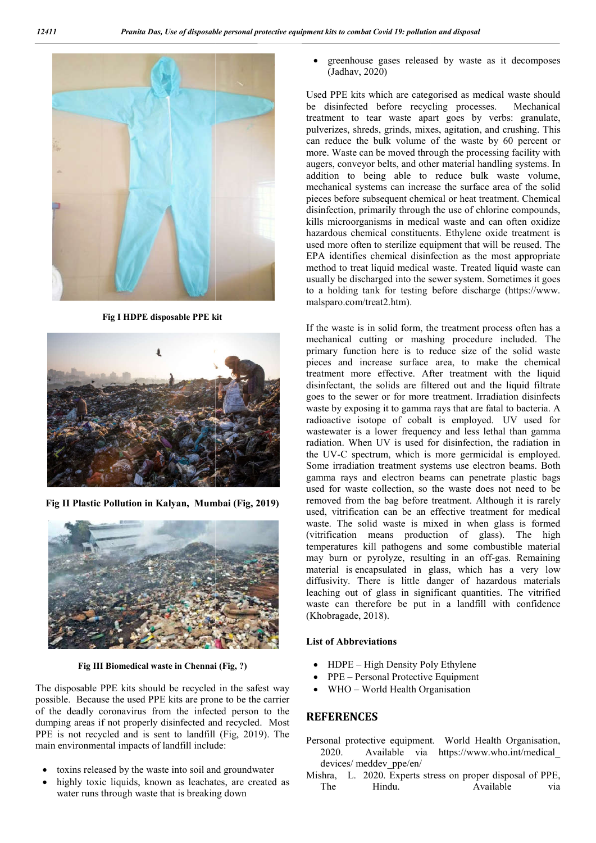

**Fig I HDPE disposable PPE kit**



**Fig II Plastic Pollution in Kalyan, Mumbai (Fig, 2019)**



**Fig III Biomedical waste in Chennai (Fig, ?)**

The disposable PPE kits should be recycled in the safest way possible. Because the used PPE kits are prone to be the carrier of the deadly coronavirus from the infected person to the dumping areas if not properly disinfected and recycled. Most PPE is not recycled and is sent to landfill (Fig, 2019). The main environmental impacts of landfill include:

- toxins released by the waste into soil and groundwater
- highly toxic liquids, known as leachates, are created as water runs through waste that is breaking down

 greenhouse gases released by waste as it decomposes (Jadhav, 2020) Exercised by waste as it decomposes<br>categorised as medical waste should<br>recycling processes. Mechanical

Used PPE kits which are categorised as medical waste should be disinfected before recycling processes. treatment to tear waste apart goes by verbs: granulate, pulverizes, shreds, grinds, mixes, agitation, and crushing. This can reduce the bulk volume of the waste by 60 percent or more. Waste can be moved through the processing facility with augers, conveyor belts, and other material handling systems. In addition to being able to reduce bulk waste volume, mechanical systems can increase the surfa pieces before subsequent chemical or heat treatment. Chemical disinfection, primarily through the use of chlorine compounds, kills microorganisms in medical waste and can often oxidize hazardous chemical constituents. Ethylene oxide treatment is used more often to sterilize equipment that will be reused. The EPA identifies chemical disinfection as the most appropriate method to treat liquid medical waste. Treated liquid waste can method to treat liquid medical waste. Treated liquid waste can usually be discharged into the sewer system. Sometimes it goes to a holding tank for testing before discharge (https://www. malsparo.com/treat2.htm). treatment to tear waste apart goes by verbs: granulate, pulverizes, shreds, grinds, mixes, agitation, and crushing. This can reduce the bulk volume of the waste by 60 percent or more. Waste can be moved through the process pieces before subsequent chemical or heat treatment. Chemical disinfection, primarily through the use of chlorine compounds, kills microorganisms in medical waste and can often oxidize hazardous chemical constituents. Ethy

If the waste is in solid form, the treatment process often has a mechanical cutting or mashing procedure included. The primary function here is to reduce size of the solid waste pieces and increase surface area, to make the chemical treatment more effective. After treatment with the liquid disinfectant, the solids are filtered out and the liquid filtrate goes to the sewer or for more treatment. waste by exposing it to gamma rays that are fatal to bacteria. A waste by exposing it to gamma rays that are fatal to bacteria. A radioactive isotope of cobalt is employed. UV used for wastewater is a lower frequency and less lethal than gamma radiation. When UV is used for disinfection, the radiation in the UV-C spectrum, which is more germicidal is employed. Some irradiation treatment systems use electron beams. Both gamma rays and electron beams can penetrate plastic bags used for waste collection, so the waste does not need to be removed from the bag before treatment. Although it is rarely used, vitrification can be an effective treatment for medical waste. The solid waste is mixed in when glass is formed (vitrification means production of glass). The high temperatures kill pathogens and some combustible material may burn or pyrolyze, resulting in an off-gas. Remaining material is encapsulated in glass, which has a very low diffusivity. There is little danger of hazardous materials leaching out of glass in significant quantities. The vitrified waste can therefore be put in a landfill with confidence (Khobragade, 2018). waste is in solid form, the treatment process often has a mical cutting or mashing procedure included. The ry function here is to reduce size of the solid waste pieces and increase surface area, to make the chemical treatment more effective. After treatment with the liquid disinfectant, the solids are filtered out and the liquid filtrate goes to the sewer or for more treatment. Ir wastewater is a lower frequency and less lethal than gamma radiation. When UV is used for disinfection, the radiation in the UV-C spectrum, which is more germicidal is employed. Some irradiation treatment systems use elect vitrification can be an effective treatment for medical<br>The solid waste is mixed in when glass is formed<br>cation means production of glass). The high<br>ratures kill pathogens and some combustible material<br>purn or pyrolyze, re ated in glass, which has a very low<br>is little danger of hazardous materials<br>ss in significant quantities. The vitrified<br>e be put in a landfill with confidence<br>ns<br>s<br>s<br>Density Poly Ethylene<br>Protective Equipment<br>Health Organi

#### **List of Abbreviations**

- HDPE High Density Poly Ethylene
- PPE Personal Protective Equipment
- WHO World Health Organisation

### **REFERENCES**

- Personal protective equipment. World Health Organisation, 2020. Available via https://www.who.int/medical devices/ meddev\_ppe/en/
- Mishra, L. 2020. Experts stress on proper disposal of PPE, The Hindu. Available via